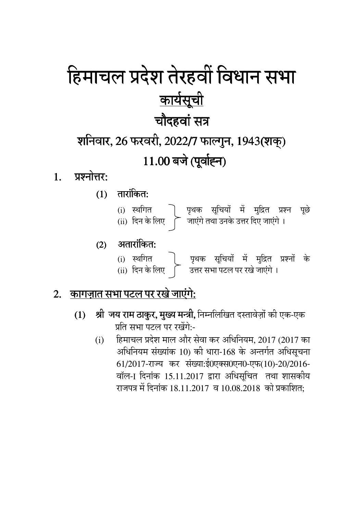# हिमाचल प्रदेश तेरहवी विधान सभा <u>कार्यसूची</u> <u>चौदहवां सत्र</u> शनिवार, 26 फरवरी, 2022/7 फाल्गुन, 1943(शक्)

### $11.00$  बर्ज (पूर्वाह्न) ।

- 1. प्रश्नोत्तर:
	- $(1)$  तारांकित:
		- (i) स्थगित | पृथक सूचियो मे मुद्रित प्रश्न पूछे (ii) दिन के लिए |े जाएंगे तथा उनके उत्तर दिए जाएंगे ।

#### $(2)$  अतारांकित:

(i) स्थगित | पृथक सूचियों में मुद्रित प्रश्नों के (ii) दिन के लिए [ उत्तर सभा पटल पर रखे जाएंगे ।

#### <u>2. कागज़ात सभा पटल पर रखे जाएंगे:</u>

- **(1) श्री जय राम ठाकुर, मुख्य मन्त्री,** निम्नलिखित दस्तावेज़ो को एक-एक प्रति सभा पटल पर रखेंगे:-
	- (i) हिमाचल प्रदेश माल और सेवा कर अधिनियम, 2017 (2017 का अधिनियम संख्याक 10) को धारा-168 के अन्तर्गत अधिसूचना 61/2017-राज्य कर संख्या:ई0एक्स0एन0-एफ(10)-20/2016-वॉल-1 दिनांक 15.11.2017 द्वारा अधिसूचित तथा शासकीय राजपत्र में दिनांक 18.11.2017 व 10.08.2018 को प्रकाशित: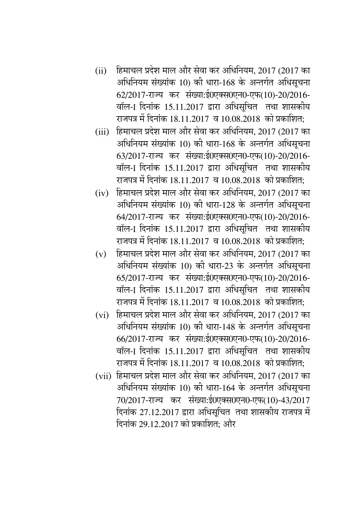- (ii) हिमाचल प्रदेश माल और सेवा कर अधिनियम, 2017 (2017 का आंधोनयम संख्याक 10) को धारा-168 के अन्तर्गत अधिसूचना 62/2017-राज्य कर संख्या:ई0एक्स0एन0-एफ(10)-20/2016-वॉल-1 दिनांक 15.11.2017 द्वारा अधिसूचित तथा शासकीय राजपत्र में दिनांक 18.11.2017 व 10.08.2018 को प्रकाशित:
- (iii) हिमाचल प्रदेश माल और सेवा कर अधिनियम, 2017 (2017 का आंधोनयम संख्याक 10) को धारा-168 के अन्तर्गत अधिसूचना 63/2017-राज्य कर संख्या:ई0एक्स0एन0-एफ(10)-20/2016-वॉल-1 दिनांक 15.11.2017 द्वारा अधिसूचित तथा शासकीय राजपत्र में दिनांक 18.11.2017 व 10.08.2018 को प्रकाशित:
- (iv) हिमाचल प्रदेश माल और सेवा कर अधिनियम, 2017 (2017 का अधिनियम संख्याक 10) को धारा-128 के अन्तर्गत अधिसूचना 64/2017-राज्य कर संख्या:ई0एक्स0एन0-एफ(10)-20/2016-वॉल-1 दिनांक 15.11.2017 द्वारा अधिसूचित तथा शासकीय राजपत्र में दिनांक 18.11.2017 व 10.08.2018 को प्रकाशित:
- $\rm (v)$  हिमाचल प्रदेश माल और सेवा कर अधिनियम, 2017 (2017 का अधिनियम संख्याक 10) को धारा-23 के अन्तर्गत अधिसूचना 65/2017-राज्य कर संख्या:ई0एक्स0एन0-एफ(10)-20/2016-वॉल-1 दिनांक 15.11.2017 द्वारा अधिसूचित तथा शासकीय राजपत्र में दिनांक 18.11.2017 व 10.08.2018 को प्रकाशित:
- (vi) हिमाचल प्रदेश माल और सेवा कर अधिनियम, 2017 (2017 का अधिनियम संख्याक 10) को धारा-148 के अन्तर्गत अधिसूचना 66/2017-राज्य कर संख्या:ई0एक्स0एन0-एफ(10)-20/2016-वॉल-1 दिनांक 15.11.2017 द्वारा अधिसचित तथा शासकीय राजपत्र में दिनांक 18.11.2017 व 10.08.2018 को प्रकाशित;
- (vii) हिमाचल प्रदेश माल और सेवा कर अधिनियम, 2017 (2017 का अधिनियम संख्याक 10) को धारा-164 के अन्तर्गत अधिसूचना 70/2017-राज्य कर संख्या:ई0एक्स0एन0-एफ(10)-43/2017 दिनांक 27.12.2017 द्वारा अधिसूचित तथा शासकीय राजपत्र में दिनांक 29.12.2017 को प्रकाशित: और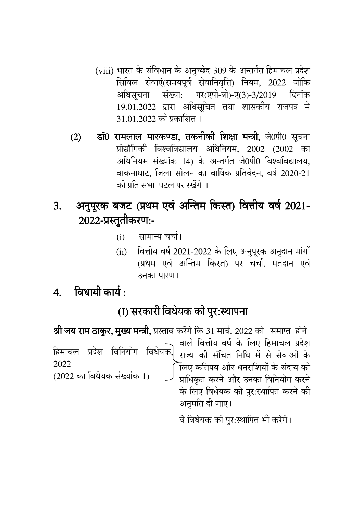- (viii) भारत के संविधान के अनुच्छेद 309 के अन्तर्गत हिमाचल प्रदेश सिविल सेवाएं(समयपूर्व सेवानिवृत्ति) नियम, 2022 जोकि अधिसूचना संख्या: पर(एपी-बी)-ए(3)-3/2019 दिनांक 19.01.2022 द्वारा अधिसूचित तथा शासकीय राजपत्र में 31.01.2022 को प्रकाशित ।
- डॉ0 रामलाल मारकण्डा, तकनीकी शिक्षा मन्त्री, जे0पी0 सूचना  $(2)$ प्रोद्यौगिकी विश्वविद्यालय अधिनियम, 2002 (2002 का अधिनियम संख्यांक 14) के अन्तर्गत जे0पी0 विश्वविद्यालय. वाकनाघाट, जिला सोलन का वार्षिक प्रतिवेदन, वर्ष 2020-21 की प्रति सभा पटल पर रखेंगे ।

#### अनुपूरक बजट (प्रथम एवं अन्तिम किस्त) वित्तीय वर्ष 2021- $3.$ <u> 2022-प्रस्तुतीकरण:-</u>

- सामान्य चर्चा।  $(i)$
- वित्तीय वर्ष 2021-2022 के लिए अनुपूरक अनुदान मांगों  $(ii)$ (प्रथम एवं अन्तिम किस्त) पर चर्चा. मतदान एवं उनका पारण।
- 4. विधायी कार्य:

### (I) सरकारी विधेयक की पुर:स्थापना

|                                     | <b>श्री जय राम ठाकुर, मुख्य मन्त्री,</b> प्रस्ताव करेंगे कि 31 मार्च, 2022 को  समाप्त  होने                                                                                                                                                                                                                 |
|-------------------------------------|-------------------------------------------------------------------------------------------------------------------------------------------------------------------------------------------------------------------------------------------------------------------------------------------------------------|
| 2022<br>(2022 का विधेयक संख्यांक 1) | हिमाचल प्रदेश विनियोग विधेयक, वाले वित्तीय वर्ष के लिए हिमाचल प्रदेश<br>हिमाचल प्रदेश विनियोग विधेयक, राज्य की संचित निधि में से सेवाओं के<br>िलिए कतिपय और धनराशियों के संदाय को<br>$\overline{\phantom{a}}$ प्राधिकृत करने और उनका विनियोग करने<br>के लिए विधेयक को पुर:स्थापित करने की<br>अनुमति दी जाए। |
|                                     |                                                                                                                                                                                                                                                                                                             |

वे विधेयक को पुर:स्थापित भी करेंगे।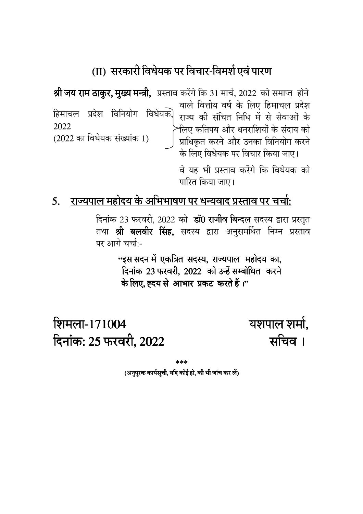#### (II) सरकारी विधेयक पर विचार-विमर्श एवं पारण

श्री जय राम ठाकुर, मुख्य मन्त्री, प्रस्ताव करेंगे कि 31 मार्च, 2022 को समाप्त होने वाले वित्तीय वर्ष के लिए हिमाचल प्रदेश हिमाचल प्रदेश विनियोग विधेयक] राज्य की संचित निधि में से सेवाओं के 2022 र्नलए कतिपय और धनराशियों के संदाय को  $(2022 \nleftrightarrow \nabla \cdot \vec{B})$  विधेयक संख्यांक 1) प्राधिकृत करने और उनका विनियोग करने के लिए विधेयक पर विचार किया जाए।

> वे यह भी प्रस्ताव करेंगे कि विधेयक को पारित किया जाए।

#### 5. राज्यपाल महोदय के अभिभाषण पर धन्यवाद प्रस्ताव पर चर्चा:

दिनांक 23 फरवरी, 2022 को डॉ0 राजीव बिन्दल सदस्य द्वारा प्रस्तुत तथा **श्री बलवीर सिंह,** सदस्य द्वारा अनुसमर्थित निम्न प्रस्ताव पर आगे चर्चा:-

> ''इस सदन में एकत्रित सदस्य, राज्यपाल महोदय का, दिनांक 23 फरवरी. 2022 को उन्हें सम्बोधित करने के लिए, ह्दय से आभार प्रकट करते हैं।"

शिमला-171004 दिनांक: 25 फरवरी, 2022 यशपाल शर्मा, सचिव ।

\*\*\*

(अनुपुरक कार्यसूची, यदि कोई हो, की भी जांच कर लें)